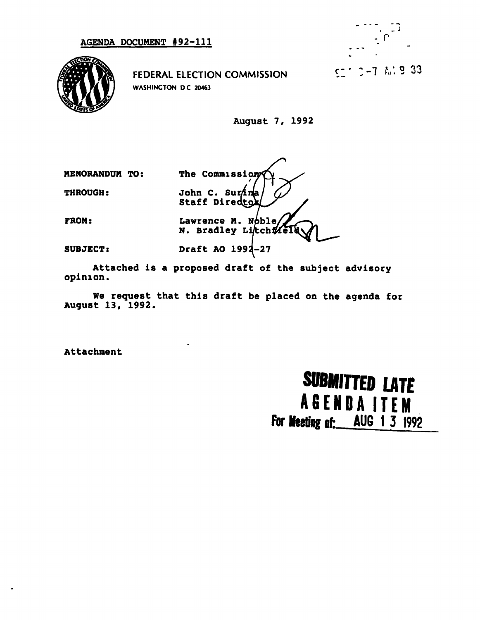



FEDERAL ELECTION COMMISSION WASHINGTON DC 20463

August 7, 1992

The Commission MEMORANDUM TO: **THROUGH:** John C. Surana Staff Directo **FROM:** Lawrence M. Noble N. Bradley Litch# Draft AO 1992-27 **SUBJECT:** 

Attached is a proposed draft of the subject advisory opinion.

We request that this draft be placed on the agenda for August 13, 1992.

Attachment

# **SUBMITTED LATE AGENDA ITEM** For Meeting of: AUG 1 3 1992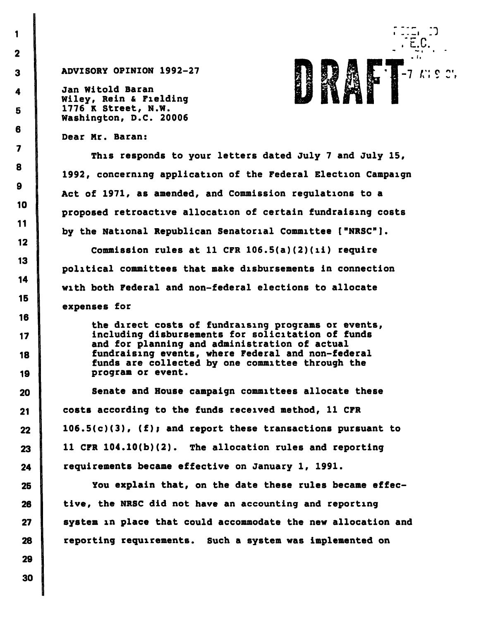4 Jan Witold Baran Wiley, Rein & Fielding 5 1776 K Street, N.W. Washington, D.C. 20006



Dear Mr. Baran:

This responds to your letters dated July 7 and July 15, 1992, concerning application of the Federal Election Campaign Act of 1971, as amended, and Commission regulations to a proposed retroactive allocation of certain fundraising costs by the National Republican Senatorial Committee ["NRSC"].

Commission rules at 11 CFR  $106.5(a)(2)(ii)$  require political committees that make disbursements in connection with both Federal and non-federal elections to allocate expenses for

the direct costs of fundraising programs or events, 17 including disbursements for solicitation of funds and for planning and administration of actual 18 fundraising events, where Federal and non-federal funds are collected by one committee through the 19 program or event.

20 Senate and House campaign committees allocate these 21 costs according to the funds received method, 11 CFR  $22$  106.5(c)(3), (f); and report these transactions pursuant to  $23$  | 11 CFR 104.10(b)(2). The allocation rules and reporting 24 requirements became effective on January 1, 1991.

25 You explain that, on the date these rules became effec-26 tive, the NRSC did not have an accounting and reporting 27 system in place that could accommodate the new allocation and 28 reporting requirements. Such a system was implemented on

2

1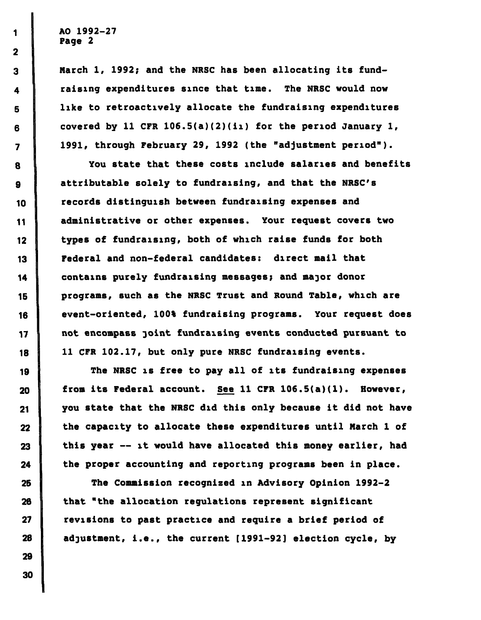1 AO 1992-27 Page 2

3 March 1, 1992; and the NRSC has been allocating its fund-4 | raising expenditures since that time. The NRSC would now 5 like to retroactively allocate the fundraising expenditures  $6$  | covered by 11 CFR 106.5(a)(2)(ii) for the period January 1, 7 | 1991, through February 29, 1992 (the "adjustment period").

8 **Was a Set in Setup 2** You state that these costs include salaries and benefits g attributable solely to fundraising, and that the NRSC's 10 **Tecords distinguish between fundraising expenses and** 11 | administrative or other expenses. Your request covers two 12 types of fundraising, both of which raise funds for both 13 Federal and non-federal candidates: direct mail that 14 contains purely fundraising messages; and major donor 15 | programs, such as the NRSC Trust and Round Table, which are 16 event-oriented, 100% fundraising programs. Your request does 17 not encompass joint fundraising events conducted pursuant to 18 11 CFR 102.17, but only pure NRSC fundraising events.

19 The NRSC is free to pay all of its fundraising expenses  $20$  from its Federal account. See 11 CFR 106.5(a)(1). However, 21 you state that the NRSC did this only because it did not have  $22$  the capacity to allocate these expenditures until March 1 of 23 | this year — it would have allocated this money earlier, had  $24$  the proper accounting and reporting programs been in place.

25 The Commission recognized in Advisory Opinion 1992-2  $26$   $\parallel$  that "the allocation requlations represent significant 27 **Photo revisions to past practice and require a brief period of** 28 adjustment, i.e., the current [1991-92] election cycle, by

2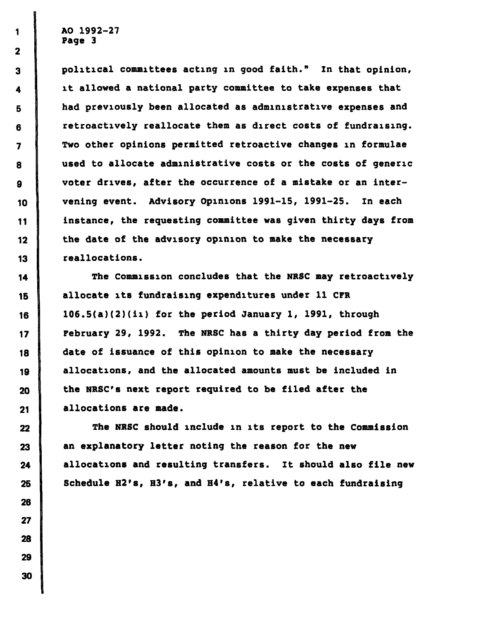1 AO 1992-27 Page 3

3 political committees acting in good faith." In that opinion, 4 | it allowed a national party committee to take expenses that 5 had previously been allocated as administrative expenses and 6 retroactively reallocate them as direct costs of fundraising. 7 Two other opinions permitted retroactive changes in formulae 8 used to allocate administrative costs or the costs of generic g voter drives, after the occurrence of a mistake or an inter-10 vening event. Advisory Opinions 1991-15, 1991-25. In each 11 instance, the requesting committee was given thirty days from  $12$  the date of the advisory opinion to make the necessary 13 reallocations.

14 The Commission concludes that the NRSC may retroactively 15 allocate its fundraising expenditures under 11 CFR 16 |  $106.5(a)(2)(i)$  for the period January 1, 1991, through 17 **February 29, 1992.** The NRSC has a thirty day period from the 18 date of issuance of this opinion to make the necessary 19 allocations, and the allocated amounts must be included in  $20$  the NRSC's next report required to be filed after the 21 **allocations are made.** 

22 The NRSC should include in its report to the Commission 23 an explanatory letter noting the reason for the new 24 allocations and resulting transfers. It should also file new 25 Schedule H2's, H3's, and H4's, relative to each fundraising

2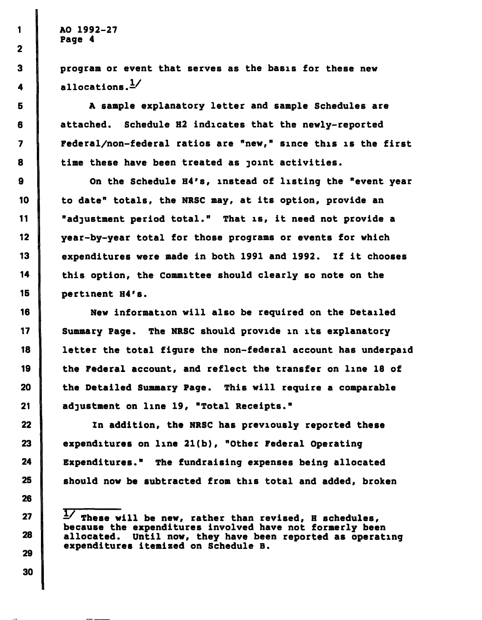I AO 1992-27 Page 4

3 program or event that serves as the basis for these new 4 allocations. $\frac{1}{2}$ 

5 A sample explanatory letter and sample Schedules are 6 attached. Schedule H2 indicates that the newly-reported 7 Federal/non-federal ratios are "new," since this is the first 8 time these have been treated as joint activities.

9 **On the Schedule H4's, instead of listing the "event year** 10 to date" totals, the NRSC may, at its option, provide an II "adjustment period total." That is, it need not provide a 12 year-by-year total for those programs or events for which 13 expenditures were made in both 1991 and 1992. If it chooses 14 this option, the Committee should clearly so note on the 15 pertinent H4's.

16 New information will also be required on the Detailed 17 Summary Page. The NRSC should provide in its explanatory 18 letter the total figure the non-federal account has underpaid 19 the Federal account, and reflect the transfer on line 18 of  $20$  the Detailed Summary Page. This will require a comparable 21 adjustment on line 19, "Total Receipts."

22 In addition, the NRSC has previously reported these 23 expenditures on line  $21(b)$ , "Other Federal Operating 24 Expenditures." The fundraising expenses being allocated 25 should now be subtracted from this total and added, broken

 $27$   $\frac{1}{\sqrt{2}}$  These will be new, rather than revised, R schedules, because the expenditures involved have not formerly been 28 allocated. Until now, they have been reported as operating expenditures itemized on Schedule B.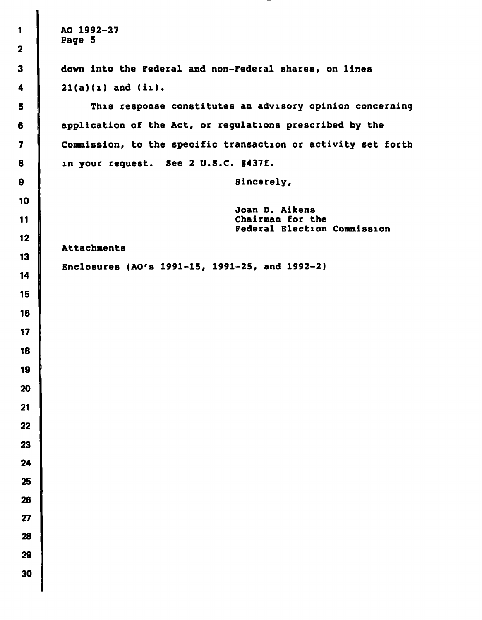AO 1992-27  $\mathbf{1}$ Page 5  $\overline{2}$  $\overline{\mathbf{3}}$ down into the Federal and non-Federal shares, on lines 21(a)(i) and (ii).  $\overline{\mathbf{4}}$ This response constitutes an advisory opinion concerning 5 application of the Act, or regulations prescribed by the 6  $\overline{\mathbf{z}}$ Commission, to the specific transaction or activity set forth in your request. See 2 U.S.C. S437f. 8  $\mathbf{9}$ Sincerely,  $10$ Joan D. Aikens Chairman for the  $11$ Federal Election Commission  $12$ Attachments  $13$ Enclosures (AO's 1991-15, 1991-25, and 1992-2) $14$ 15 16  $17$ 18 19 20  $21$  $22$ 23 24 25 26  $27$ 28 29 30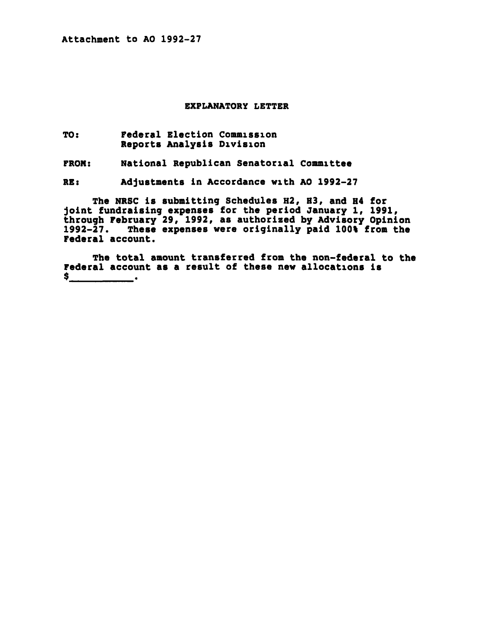Attachment to AO 1992-27

#### EXPLANATORY LETTER

TO: Federal Election Commission Reports Analysis Division

FROM: National Republican Senatorial Committee

RE: Adjustments in Accordance with AO 1992-27

The NRSC is submitting Schedules H2, H3, and H4 for joint fundraising expenses for the period January i, 1991, through February 29, 1992, as authorized by Advisory Opinion 1992-27. These expenses were originally paid 100% from the Federal account.

The total amount transferred from the non-federal to the Federal account as a result of these new allocations is  $\mathsf{s}$  .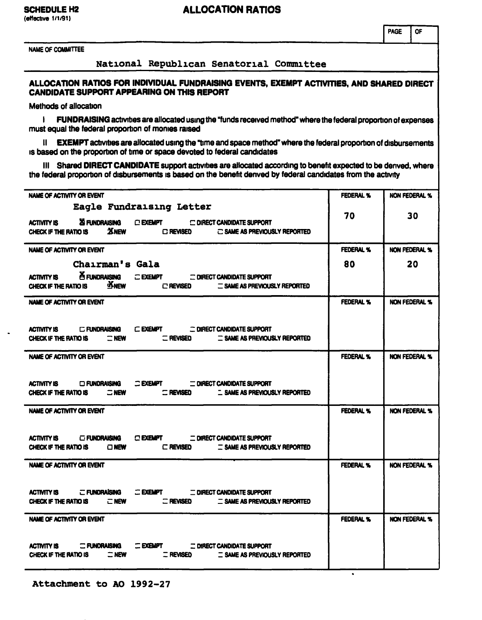#### ALLOCATION RATIOS

NAME OF COMMITTEE

#### National Republican Senatorial Committee

#### ALLOCATION RATIOS FOR INDIVIDUAL FUNDRAISING EVENTS, EXEMPT ACTIVITIES, AND SHARED DIRECT CANDIDATE SUPPORT APPEARING ON THIS REPORT

Methods of allocation

1 FUNDRAISING activities are allocated using the "funds received method" where the federal proportion of expenses must equal the federal proportion of monies raised

II EXEMPT activities are allocated using the "time and space method" where the federal proportion of disbursements is based on the proportion of time or space devoted to federal candidates

III Shared DIRECT CANDIDATE support activities are allocated according to benefit expected to be derived, where the federal proportion of disbursements is based on the benefit derived by federal candidates from the activity

| NAME OF ACTIVITY OR EVENT                                                                                                                                                                                   | <b>FEDERAL %</b> | <b>NON FEDERAL %</b> |
|-------------------------------------------------------------------------------------------------------------------------------------------------------------------------------------------------------------|------------------|----------------------|
| Eagle Fundraising Letter<br>ACTIVITY IS <b>25 FUNDRAISING C EXEMPT C DIRECT CANDIDATE SUPPORT</b><br>$\mathbf{\Sigma}$ NEW $\square$ REVISED $\square$ SAME AS PREVIOUSLY REPORTED<br>CHECK IF THE RATIO IS | 70               | 30                   |
| NAME OF ACTIVITY OR EVENT                                                                                                                                                                                   | <b>FEDERAL %</b> | NON FEDERAL %        |
| Chairman's Gala                                                                                                                                                                                             | 80               | 20                   |
| <b>A FUNDRAISING C EXEMPT COIRECT CANDIDATE SUPPORT</b><br><b>ACTIVITY IS</b><br>CHECK IF THE RATIO IS <b>NEW</b> □ REVISED<br><b>E SAME AS PREVIOUSLY REPORTED</b>                                         |                  |                      |
| NAME OF ACTIVITY OR EVENT                                                                                                                                                                                   | <b>FEDERAL %</b> | NON FEDERAL %        |
| ACTIVITY IS C FUNDRAISING C EXEMPT C DIRECT CANDIDATE SUPPORT<br>CHECK IF THE RATIO IS $\Box$ NEW<br><b>C REVISED</b><br><b>E SAME AS PREVIOUSLY REPORTED</b>                                               |                  |                      |
| NAME OF ACTIVITY OR EVENT                                                                                                                                                                                   | <b>FEDERAL %</b> | NON FEDERAL %        |
| C EXEMPT CONFIDENT CANDIDATE SUPPORT<br><b>ACTIVITY IS CIRUNDRAISING</b><br>CHECK IF THE RATIO IS $\Box$ NEW $\Box$ REVISED $\Box$ SAME AS PREVIOUSLY REPORTED                                              |                  |                      |
| NAME OF ACTIVITY OR EVENT                                                                                                                                                                                   | <b>FEDERAL %</b> | <b>NON FEDERAL %</b> |
| ACTIVITY IS CEUNDRAISING CEXEMPT CORRECT CANDIDATE SUPPORT<br><b>E SAME AS PREVIOUSLY REPORTED</b><br>$\Box$ NEW<br><b>C REVISED</b><br>CHECK IF THE RATIO IS                                               |                  |                      |
| NAME OF ACTIVITY OR EVENT                                                                                                                                                                                   | <b>FEDERAL %</b> | <b>NON FEDERAL %</b> |
| <b>E FUNDRAISING EXEMPT E DIRECT CANDIDATE SUPPORT</b><br><b>ACTIVITY IS</b><br>CHECK IF THE RATIO IS $\Box$ NEW $\Box$ REVISED $\Box$ SAME AS PREVIOUSLY REPORTED                                          |                  |                      |
| NAME OF ACTIVITY OR EVENT                                                                                                                                                                                   | <b>FEDERAL %</b> | NON FEDERAL %        |
| <b>EXEMPT EXEMPT EXEMPT CONDIDATE SUPPORT</b><br><b>ACTIVITY IS CONDRAISING</b><br>CHECK IF THE RATIO IS $\Box$ NEW<br>T REVISED T SAME AS PREVIOUSLY REPORTED                                              |                  |                      |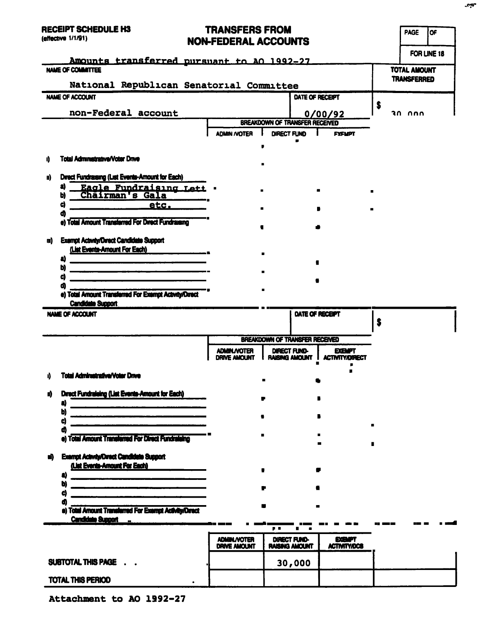# TO ANGEE DO EDOM

| <b>RECEIPT SCHEDULE H3</b><br>(effective 1/1/91)                                                                               | <b>TRANSFERS FROM</b><br><b>NON-FEDERAL ACCOUNTS</b> |                                       |                         |                                              |   | <b>PAGE</b><br>loF                 |
|--------------------------------------------------------------------------------------------------------------------------------|------------------------------------------------------|---------------------------------------|-------------------------|----------------------------------------------|---|------------------------------------|
| Amounts transferred pursuant to AO 1992-27                                                                                     |                                                      |                                       |                         |                                              |   | FOR LINE 18                        |
| <b>NAME OF COMMITTEE</b>                                                                                                       |                                                      |                                       |                         |                                              |   | TOTAL AMOUNT<br><b>TRANSFERRED</b> |
| National Republican Senatorial Committee                                                                                       |                                                      |                                       |                         |                                              |   |                                    |
| NAME OF ACCOUNT                                                                                                                |                                                      |                                       | DATE OF RECEIPT         |                                              | S |                                    |
| non-Federal account                                                                                                            |                                                      | <b>BREAKDOWN OF TRANSFER RECEIVED</b> |                         | 0/00/92                                      |   | חחה חד                             |
|                                                                                                                                | <b>ADMIN /VOTER</b>                                  | <b>DIRECT FUND</b>                    |                         | <b>FXFMPT</b>                                |   |                                    |
|                                                                                                                                |                                                      |                                       |                         |                                              |   |                                    |
| <b>Total Administrative/Voter Drive</b><br>ij,                                                                                 |                                                      |                                       |                         |                                              |   |                                    |
| Direct Fundraising (List Events-Amount for Each)<br>N)                                                                         |                                                      |                                       |                         |                                              |   |                                    |
| a)<br>Eagle Fundraising Lett .<br>Chairman's Gala<br>Ы                                                                         |                                                      |                                       |                         |                                              |   |                                    |
| C)<br><u>etc.</u>                                                                                                              |                                                      |                                       |                         |                                              |   |                                    |
| Œ                                                                                                                              |                                                      |                                       |                         |                                              |   |                                    |
| e) Total Amount Transferred For Direct Fundraising                                                                             |                                                      |                                       |                         |                                              |   |                                    |
| <b>Exempt Activity/Direct Candidate Support</b><br>m)                                                                          |                                                      |                                       |                         |                                              |   |                                    |
| (List Events-Amount For Each)                                                                                                  |                                                      | $\blacksquare$                        |                         |                                              |   |                                    |
| a)<br>the control of the control of the control of the control of the control of the control of<br>b)                          |                                                      |                                       |                         |                                              |   |                                    |
| C)                                                                                                                             |                                                      |                                       |                         |                                              |   |                                    |
| œ<br>e) Total Amount Transferred For Exempt Activity/Direct                                                                    |                                                      |                                       |                         |                                              |   |                                    |
| <b>Candidate Support</b>                                                                                                       |                                                      |                                       |                         |                                              |   |                                    |
| <b>NAME OF ACCOUNT</b>                                                                                                         |                                                      |                                       | DATE OF RECEPT          |                                              | Ŝ |                                    |
|                                                                                                                                |                                                      |                                       |                         |                                              |   |                                    |
|                                                                                                                                |                                                      | <b>BREAKDOWN OF TRANSFER RECEIVED</b> |                         |                                              |   |                                    |
|                                                                                                                                | <b>ADMINUVOTER</b><br><b>DRIVE AMOUNT</b>            | DIRECT FUND-                          | <b>RAISING AMOUNT  </b> | <b>EXEMPT</b><br><b>ACTIVITY/DIRECT</b><br>п |   |                                    |
| Total Administrative/Voter Dram<br>A.                                                                                          |                                                      |                                       |                         |                                              |   |                                    |
| Drect Fundraleing (List Events-Amount for Each)<br>m                                                                           |                                                      |                                       |                         |                                              |   |                                    |
| a)                                                                                                                             |                                                      |                                       |                         |                                              |   |                                    |
| b)                                                                                                                             |                                                      |                                       |                         |                                              |   |                                    |
| d<br>ø                                                                                                                         |                                                      |                                       |                         |                                              |   |                                    |
| e) Total Amount Transferred For Direct Fundraleing                                                                             |                                                      |                                       |                         |                                              | п |                                    |
| <b>Exempt Activity/Direct Candidate Support</b><br>W)                                                                          |                                                      |                                       |                         |                                              |   |                                    |
| (List Events-Amount For Each)                                                                                                  |                                                      |                                       |                         |                                              |   |                                    |
| .<br>2006 - Marie School and The Company and The Company and The Company and The Company and The Company and The Co<br>U<br>b) |                                                      |                                       |                         |                                              |   |                                    |
| d                                                                                                                              |                                                      |                                       |                         |                                              |   |                                    |
| đ<br>e) Total Amount Transferred For Exempt Activity/Direct<br><b>Candidate Support </b>                                       |                                                      |                                       |                         |                                              |   |                                    |
|                                                                                                                                |                                                      | . .                                   |                         |                                              |   |                                    |
|                                                                                                                                | <b>ADMIN./VOTER</b><br><b>DRIVE AMOUNT</b>           | DIRECT FUND-<br><b>RAISING AMOUNT</b> |                         | <b>EXEMPT</b><br><b>ACTIVITY/DCS</b>         |   |                                    |
| SUBTOTAL THIS PAGE .                                                                                                           |                                                      | 30,000                                |                         |                                              |   |                                    |
| TOTAL THIS PERIOD                                                                                                              |                                                      |                                       |                         |                                              |   |                                    |
|                                                                                                                                |                                                      |                                       |                         |                                              |   |                                    |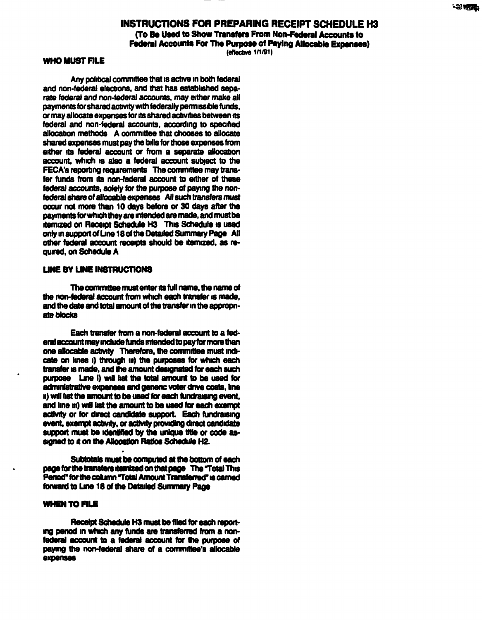

#### INSTRUCTIONS FOR PREPARING RECEIPT SCHEDULE H3 (To Be Used to Show Transfers From Non-Federal Accounts to Federal Accounts For The Purpose of Paying Allocable Expenses)

(effective 1/1/91)

#### WHO MUST FILE

Any political committee that is active in both federal and non-federal elections, and that has established separate federal and non-federal accounts, may either make all payments for shared activity with federally permissible funds, or may allocate expenses for its shared activities between its federal and non-federal accounts, according to specified allocation methods A committee that chooses to allocate shared expenses must pay the bills for those expenses from either its federal account or from a separate allocation account, which is also a federal account subject to the FECA's reporting requirements The committee may transfer funds from its non-federal account to either of these federal accounts, solely for the purpose of paying the nonfederal share of allocable expenses All such transfers must occur not more than 10 days before or 30 days after the payments for which they are intended are made, and must be itemized on Receipt Schedule H3 This Schedule is used only in support of Line 18 of the Detailed Summary Page All other federal account receipts should be itemized, as required, on Schedule A

#### UNE BY LINE INSTRUCTIONS

The committee must enter its full name, the name of the non-federal account from which each transfer is made, and the date and total amount of the transfer in the appropriate blocks

Each transfer from a non-federal account to a federal account may include funds intended to pay for more than one allocable activity Therefore, the committee must indicate on lines i) through iii) the purposes for which each transfer is made, and the amount designated for each such purpose Line I) will list the total amount to be used for administrative expenses and generic voler drive costs, line n) will list the amount to be used for each fundraising event, and line m) will list the amount to be used for each exempt activity or for direct candidate support. Each fundraising event, exempt activity, or activity providing direct candidate support must be identified by the unique title or code assigned to it on the Allocation Ratios Schedule H2.

Subtotals must be computed at the bottom of each page for the transfers numized on that page The Total This Period" for the column "Total Amount Transferred" is carned forward to Line 18 of the Detailed Summary Page

#### **WHEN TO FILE**

Receipt Schedule H3 must be filed for each reporting period in which any funds are transferred from a nonfederal account to a federal account for the purpose of paying the non-federal share of a committee's allocable expenses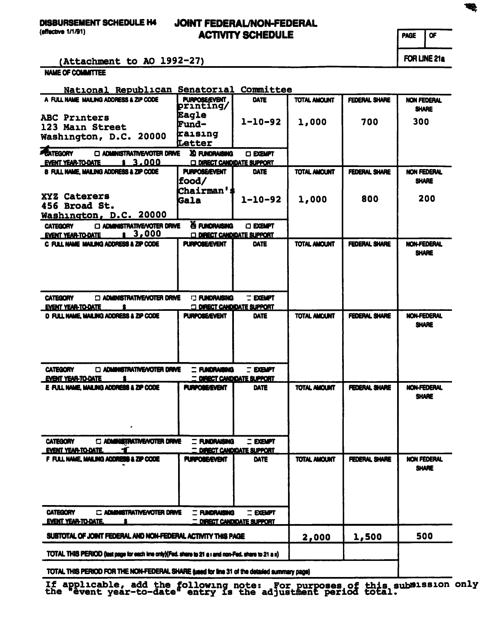(effective 1/1/91)

## JOINT FEDERAL/NON-FEDERAL ACTIVITY SCHEDULE

PAGE OF

FOR LINE 21a

(Attachment to AO 1992-27)

NAME OF COMMITTEE

| National Republican Senatorial Committee                                                             |                                                         |                                  |                     |                      |                             |  |
|------------------------------------------------------------------------------------------------------|---------------------------------------------------------|----------------------------------|---------------------|----------------------|-----------------------------|--|
| A FULL NAME MAILING ADDRESS & ZIP CODE                                                               | <b>PURPOSE/EVENT</b><br>printing/                       | <b>DATE</b>                      | <b>TOTAL AMOUNT</b> | <b>FEDERAL SHARE</b> | NON FEDERAL<br><b>SHARE</b> |  |
| ABC Printers                                                                                         | Eagle                                                   | $1 - 10 - 92$                    | 1,000               | 700                  | 300                         |  |
| 123 Main Street                                                                                      | Fund-                                                   |                                  |                     |                      |                             |  |
| Washington, D.C. 20000                                                                               | raising<br>Letter                                       |                                  |                     |                      |                             |  |
| <b>ENTEGORY</b><br>C ADMINISTRATIVE/VOTER DRIVE                                                      | XI FUNDRAISING                                          | <b>CI EXEMPT</b>                 |                     |                      |                             |  |
| \$3.000<br><b>EVENT YEAR-TO-DATE</b>                                                                 | <b>C DIRECT CANDIDATE SUPPORT</b>                       |                                  |                     |                      |                             |  |
| <b>B FULL NAME, MAILING ADDRESS &amp; ZIP CODE</b>                                                   | <b>PURPOSE/EVENT</b>                                    | <b>DATE</b>                      | <b>TOTAL AMOUNT</b> | <b>FEDERAL SHARE</b> | <b>NON FEDERAL</b>          |  |
|                                                                                                      | food/                                                   |                                  |                     |                      | <b>SHARE</b>                |  |
|                                                                                                      | Chairman'                                               |                                  |                     |                      |                             |  |
| XYZ Caterers                                                                                         | <b>Gala</b>                                             | $1 - 10 - 92$                    | 1,000               | 800                  | 200                         |  |
| 456 Broad St.                                                                                        |                                                         |                                  |                     |                      |                             |  |
| Washington, D.C. 20000                                                                               |                                                         |                                  |                     |                      |                             |  |
| C ADMINISTRATIVE/VOTER DRIVE<br><b>CATEGORY</b><br>3,000                                             | X5 FUNDRAISING                                          | <b>O EXEMPT</b>                  |                     |                      |                             |  |
| <b>EVENT YEAR-TO-DATE</b><br>C FULL NAME MAILING ADDRESS & ZIP CODE                                  | <b>DIRECT CANDIDATE SUPPORT</b><br><b>PURPOSE/EVENT</b> | DATE                             | <b>TOTAL AMOUNT</b> | <b>FEDERAL SHARE</b> | NON-FEDERAL                 |  |
|                                                                                                      |                                                         |                                  |                     |                      | <b>SHARE</b>                |  |
|                                                                                                      |                                                         |                                  |                     |                      |                             |  |
|                                                                                                      |                                                         |                                  |                     |                      |                             |  |
|                                                                                                      |                                                         |                                  |                     |                      |                             |  |
|                                                                                                      |                                                         |                                  |                     |                      |                             |  |
| <b>CATEGORY</b><br><b>ED ADMINISTRATIVE/NOTER DRIVE</b>                                              | <b>ELIMORAISING</b>                                     | <b>TEXEMPT</b>                   |                     |                      |                             |  |
| <b>EVENT YEAR-TO-DATE</b>                                                                            | <b>G DIRECT CANDIDATE SUPPORT</b>                       |                                  |                     |                      |                             |  |
| <b>D FULL NAME, MAILING ADDRESS &amp; ZIP CODE</b>                                                   | <b>PURPOSE/EVENT</b>                                    | DATE                             | <b>TOTAL AMOUNT</b> | <b>FEDERAL SHARE</b> | <b>NON-FEDERAL</b>          |  |
|                                                                                                      |                                                         |                                  |                     |                      | <b>SHARE</b>                |  |
|                                                                                                      |                                                         |                                  |                     |                      |                             |  |
|                                                                                                      |                                                         |                                  |                     |                      |                             |  |
|                                                                                                      |                                                         |                                  |                     |                      |                             |  |
| <b>CATEGORY</b><br><b>DI ADMINISTRATIVE/VOTER DRIVE</b>                                              | <b>C FUNDRAISING</b>                                    | <b>EXEMPT</b>                    |                     |                      |                             |  |
| <b>EVENT YEAR-TO-DATE</b>                                                                            |                                                         | <b>DIRECT CANDIDATE SUPPORT</b>  |                     |                      |                             |  |
| E FULL NAME. MAILING ADDRESS & ZIP CODE                                                              | <b>PURPOBE/EVENT</b>                                    | <b>DATE</b>                      | <b>TOTAL AMOUNT</b> | <b>FEDERAL SHARE</b> | <b>NON-FEDERAL</b>          |  |
|                                                                                                      |                                                         |                                  |                     |                      | <b>SHARE</b>                |  |
|                                                                                                      |                                                         |                                  |                     |                      |                             |  |
|                                                                                                      |                                                         |                                  |                     |                      |                             |  |
|                                                                                                      |                                                         |                                  |                     |                      |                             |  |
| <b>CATEGORY</b><br><b>C ADMINISTRATIVE/VOTER DRIVE</b>                                               | <b>E FUNDRAISING</b>                                    | <b>Exempt</b>                    |                     |                      |                             |  |
| <b>EVENT YEAR-TO-DATE.</b>                                                                           |                                                         | DIRECT CANDIDATE SUPPORT         |                     |                      |                             |  |
| F FULL NAME, MAILING ADDRESS & ZIP CODE                                                              | <b>PURPOBE/EVENT</b>                                    | DATE                             | <b>TOTAL AMOUNT</b> | <b>FEDERAL SHARE</b> | NON FEDERAL                 |  |
|                                                                                                      |                                                         |                                  |                     |                      | <b>SHARE</b>                |  |
|                                                                                                      |                                                         |                                  |                     |                      |                             |  |
|                                                                                                      |                                                         |                                  |                     |                      |                             |  |
|                                                                                                      |                                                         |                                  |                     |                      |                             |  |
| <b>CATEGORY</b><br><b>C. ADAINISTRATIVE/VOTER DRIVE</b>                                              | <b>E FUNDRAISING</b>                                    | <b>EXEMPT</b>                    |                     |                      |                             |  |
| <b>EVENT YEAR-TO-DATE.</b>                                                                           |                                                         | <u> DIRECT CANDIDATE SUPPORT</u> |                     |                      |                             |  |
|                                                                                                      |                                                         |                                  |                     |                      |                             |  |
| SUBTOTAL OF JOINT FEDERAL AND NON-FEDERAL ACTIVITY THIS PAGE                                         |                                                         | 2,000                            | 1,500               | 500                  |                             |  |
| TOTAL THIS PERIOD (last page for each line only)(Fed. share to 21 a i and non-Fed. share to 21 a ii) |                                                         |                                  |                     |                      |                             |  |
| TOTAL THIS PERIOD FOR THE NON-FEDERAL SHARE (used for line 31 of the detailed summary page)          |                                                         |                                  |                     |                      |                             |  |

If applicable, add the following note: For purposes of this submission only<br>the "event year-to-date" entry is the adjustment period total.